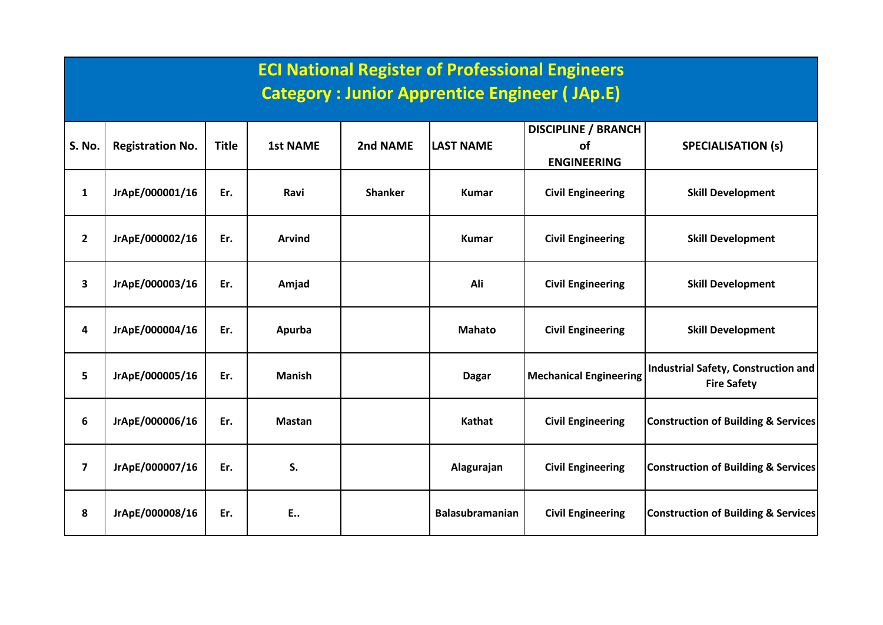|                         | <b>ECI National Register of Professional Engineers</b><br><b>Category: Junior Apprentice Engineer (JAp.E)</b> |              |                 |                |                        |                                                        |                                                           |  |  |  |  |  |
|-------------------------|---------------------------------------------------------------------------------------------------------------|--------------|-----------------|----------------|------------------------|--------------------------------------------------------|-----------------------------------------------------------|--|--|--|--|--|
| <b>S. No.</b>           | <b>Registration No.</b>                                                                                       | <b>Title</b> | <b>1st NAME</b> | 2nd NAME       | <b>LAST NAME</b>       | <b>DISCIPLINE / BRANCH</b><br>of<br><b>ENGINEERING</b> | <b>SPECIALISATION (s)</b>                                 |  |  |  |  |  |
| $\mathbf{1}$            | JrApE/000001/16                                                                                               | Er.          | Ravi            | <b>Shanker</b> | <b>Kumar</b>           | <b>Civil Engineering</b>                               | <b>Skill Development</b>                                  |  |  |  |  |  |
| $\overline{2}$          | JrApE/000002/16                                                                                               | Er.          | <b>Arvind</b>   |                | <b>Kumar</b>           | <b>Civil Engineering</b>                               | <b>Skill Development</b>                                  |  |  |  |  |  |
| $\overline{\mathbf{3}}$ | JrApE/000003/16                                                                                               | Er.          | Amjad           |                | Ali                    | <b>Civil Engineering</b>                               | <b>Skill Development</b>                                  |  |  |  |  |  |
| $\overline{\mathbf{4}}$ | JrApE/000004/16                                                                                               | Er.          | Apurba          |                | <b>Mahato</b>          | <b>Civil Engineering</b>                               | <b>Skill Development</b>                                  |  |  |  |  |  |
| 5                       | JrApE/000005/16                                                                                               | Er.          | <b>Manish</b>   |                | <b>Dagar</b>           | <b>Mechanical Engineering</b>                          | Industrial Safety, Construction and<br><b>Fire Safety</b> |  |  |  |  |  |
| 6                       | JrApE/000006/16                                                                                               | Er.          | <b>Mastan</b>   |                | Kathat                 | <b>Civil Engineering</b>                               | <b>Construction of Building &amp; Services</b>            |  |  |  |  |  |
| $\overline{\mathbf{z}}$ | JrApE/000007/16                                                                                               | Er.          | S.              |                | Alagurajan             | <b>Civil Engineering</b>                               | <b>Construction of Building &amp; Services</b>            |  |  |  |  |  |
| 8                       | JrApE/000008/16                                                                                               | Er.          | E.,             |                | <b>Balasubramanian</b> | <b>Civil Engineering</b>                               | <b>Construction of Building &amp; Services</b>            |  |  |  |  |  |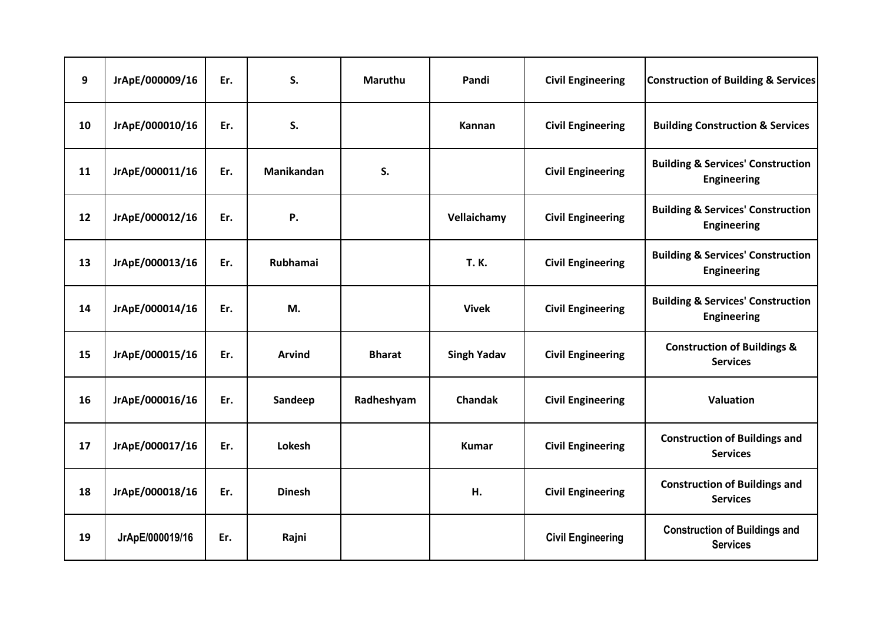| 9  | JrApE/000009/16 | Er. | S.              | <b>Maruthu</b> | Pandi              | <b>Civil Engineering</b> | <b>Construction of Building &amp; Services</b>                     |
|----|-----------------|-----|-----------------|----------------|--------------------|--------------------------|--------------------------------------------------------------------|
| 10 | JrApE/000010/16 | Er. | S.              |                | Kannan             | <b>Civil Engineering</b> | <b>Building Construction &amp; Services</b>                        |
| 11 | JrApE/000011/16 | Er. | Manikandan      | S.             |                    | <b>Civil Engineering</b> | <b>Building &amp; Services' Construction</b><br><b>Engineering</b> |
| 12 | JrApE/000012/16 | Er. | Ρ.              |                | Vellaichamy        | <b>Civil Engineering</b> | <b>Building &amp; Services' Construction</b><br><b>Engineering</b> |
| 13 | JrApE/000013/16 | Er. | <b>Rubhamai</b> |                | <b>T.K.</b>        | <b>Civil Engineering</b> | <b>Building &amp; Services' Construction</b><br><b>Engineering</b> |
| 14 | JrApE/000014/16 | Er. | M.              |                | <b>Vivek</b>       | <b>Civil Engineering</b> | <b>Building &amp; Services' Construction</b><br><b>Engineering</b> |
| 15 | JrApE/000015/16 | Er. | <b>Arvind</b>   | <b>Bharat</b>  | <b>Singh Yadav</b> | <b>Civil Engineering</b> | <b>Construction of Buildings &amp;</b><br><b>Services</b>          |
| 16 | JrApE/000016/16 | Er. | Sandeep         | Radheshyam     | <b>Chandak</b>     | <b>Civil Engineering</b> | Valuation                                                          |
| 17 | JrApE/000017/16 | Er. | Lokesh          |                | <b>Kumar</b>       | <b>Civil Engineering</b> | <b>Construction of Buildings and</b><br><b>Services</b>            |
| 18 | JrApE/000018/16 | Er. | <b>Dinesh</b>   |                | Н.                 | <b>Civil Engineering</b> | <b>Construction of Buildings and</b><br><b>Services</b>            |
| 19 | JrApE/000019/16 | Er. | Rajni           |                |                    | <b>Civil Engineering</b> | <b>Construction of Buildings and</b><br><b>Services</b>            |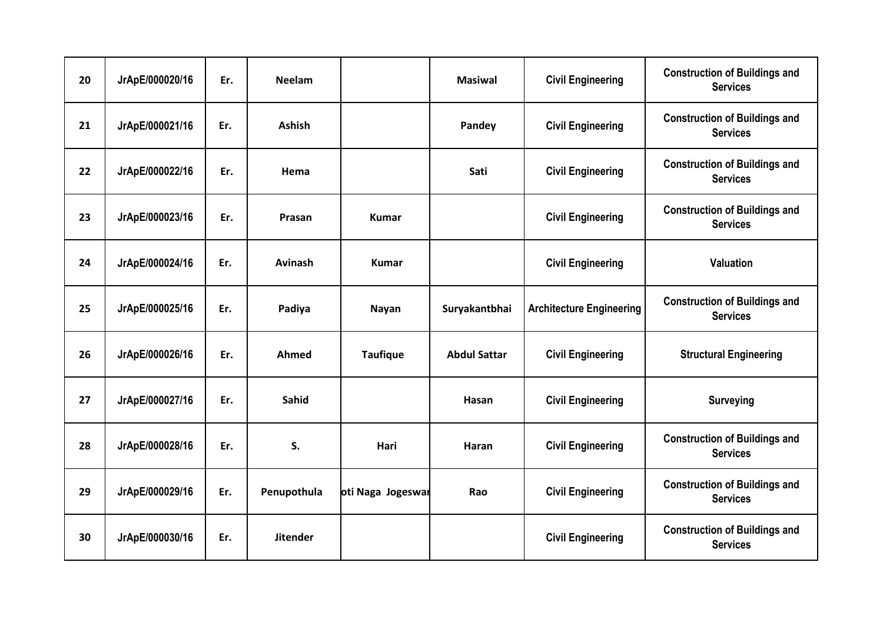| 20 | JrApE/000020/16 | Er. | <b>Neelam</b>   |                   | <b>Masiwal</b>           | <b>Civil Engineering</b>        | <b>Construction of Buildings and</b><br><b>Services</b> |
|----|-----------------|-----|-----------------|-------------------|--------------------------|---------------------------------|---------------------------------------------------------|
| 21 | JrApE/000021/16 | Er. | <b>Ashish</b>   |                   | Pandey                   | <b>Civil Engineering</b>        | <b>Construction of Buildings and</b><br><b>Services</b> |
| 22 | JrApE/000022/16 | Er. | Hema            |                   | Sati                     | <b>Civil Engineering</b>        | <b>Construction of Buildings and</b><br><b>Services</b> |
| 23 | JrApE/000023/16 | Er. | Prasan          | <b>Kumar</b>      | <b>Civil Engineering</b> |                                 | <b>Construction of Buildings and</b><br><b>Services</b> |
| 24 | JrApE/000024/16 | Er. | Avinash         | <b>Kumar</b>      |                          | <b>Civil Engineering</b>        | <b>Valuation</b>                                        |
| 25 | JrApE/000025/16 | Er. | Padiya          | Nayan             | Suryakantbhai            | <b>Architecture Engineering</b> | <b>Construction of Buildings and</b><br><b>Services</b> |
| 26 | JrApE/000026/16 | Er. | Ahmed           | <b>Taufique</b>   | <b>Abdul Sattar</b>      | <b>Civil Engineering</b>        | <b>Structural Engineering</b>                           |
| 27 | JrApE/000027/16 | Er. | <b>Sahid</b>    |                   | Hasan                    | <b>Civil Engineering</b>        | <b>Surveying</b>                                        |
| 28 | JrApE/000028/16 | Er. | S.              | Hari              | Haran                    | <b>Civil Engineering</b>        | <b>Construction of Buildings and</b><br><b>Services</b> |
| 29 | JrApE/000029/16 | Er. | Penupothula     | oti Naga Jogeswar | Rao                      | <b>Civil Engineering</b>        | <b>Construction of Buildings and</b><br><b>Services</b> |
| 30 | JrApE/000030/16 | Er. | <b>Jitender</b> |                   |                          | <b>Civil Engineering</b>        | <b>Construction of Buildings and</b><br><b>Services</b> |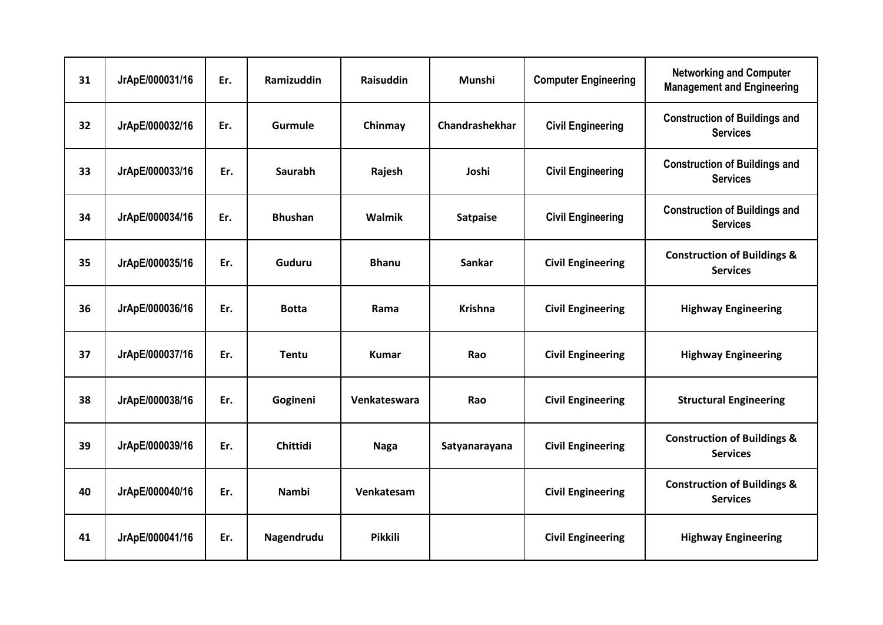| 31 | JrApE/000031/16 | Er. | Ramizuddin      | <b>Raisuddin</b> | Munshi          | <b>Computer Engineering</b> | <b>Networking and Computer</b><br><b>Management and Engineering</b> |
|----|-----------------|-----|-----------------|------------------|-----------------|-----------------------------|---------------------------------------------------------------------|
| 32 | JrApE/000032/16 | Er. | <b>Gurmule</b>  | Chinmay          | Chandrashekhar  | <b>Civil Engineering</b>    | <b>Construction of Buildings and</b><br><b>Services</b>             |
| 33 | JrApE/000033/16 | Er. | <b>Saurabh</b>  | Rajesh           | Joshi           | <b>Civil Engineering</b>    | <b>Construction of Buildings and</b><br><b>Services</b>             |
| 34 | JrApE/000034/16 | Er. | <b>Bhushan</b>  | Walmik           | <b>Satpaise</b> | <b>Civil Engineering</b>    | <b>Construction of Buildings and</b><br><b>Services</b>             |
| 35 | JrApE/000035/16 | Er. | Guduru          | <b>Bhanu</b>     | <b>Sankar</b>   | <b>Civil Engineering</b>    | <b>Construction of Buildings &amp;</b><br><b>Services</b>           |
| 36 | JrApE/000036/16 | Er. | <b>Botta</b>    | Rama             | <b>Krishna</b>  | <b>Civil Engineering</b>    | <b>Highway Engineering</b>                                          |
| 37 | JrApE/000037/16 | Er. | <b>Tentu</b>    | <b>Kumar</b>     | Rao             | <b>Civil Engineering</b>    | <b>Highway Engineering</b>                                          |
| 38 | JrApE/000038/16 | Er. | Gogineni        | Venkateswara     | Rao             | <b>Civil Engineering</b>    | <b>Structural Engineering</b>                                       |
| 39 | JrApE/000039/16 | Er. | <b>Chittidi</b> | <b>Naga</b>      | Satyanarayana   | <b>Civil Engineering</b>    | <b>Construction of Buildings &amp;</b><br><b>Services</b>           |
| 40 | JrApE/000040/16 | Er. | Nambi           | Venkatesam       |                 | <b>Civil Engineering</b>    | <b>Construction of Buildings &amp;</b><br><b>Services</b>           |
| 41 | JrApE/000041/16 | Er. | Nagendrudu      | <b>Pikkili</b>   |                 | <b>Civil Engineering</b>    | <b>Highway Engineering</b>                                          |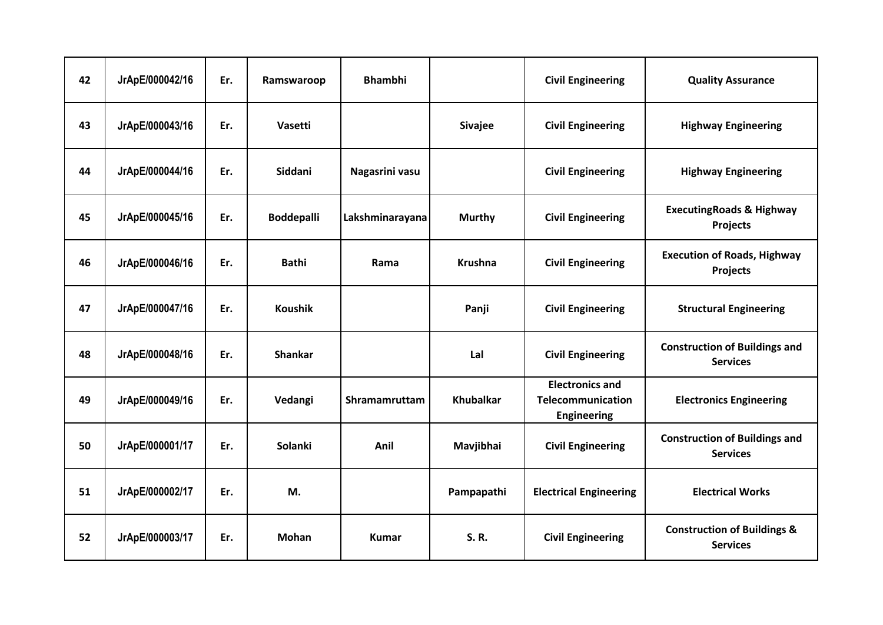| 42 | JrApE/000042/16 | Er. | Ramswaroop        | <b>Bhambhi</b>  |                  | <b>Civil Engineering</b>                                          | <b>Quality Assurance</b>                                  |
|----|-----------------|-----|-------------------|-----------------|------------------|-------------------------------------------------------------------|-----------------------------------------------------------|
| 43 | JrApE/000043/16 | Er. | <b>Vasetti</b>    |                 | <b>Sivajee</b>   | <b>Civil Engineering</b>                                          | <b>Highway Engineering</b>                                |
| 44 | JrApE/000044/16 | Er. | Siddani           | Nagasrini vasu  |                  | <b>Civil Engineering</b>                                          | <b>Highway Engineering</b>                                |
| 45 | JrApE/000045/16 | Er. | <b>Boddepalli</b> | Lakshminarayana | <b>Murthy</b>    | <b>Civil Engineering</b>                                          | <b>ExecutingRoads &amp; Highway</b><br><b>Projects</b>    |
| 46 | JrApE/000046/16 | Er. | <b>Bathi</b>      | Rama            | <b>Krushna</b>   | <b>Civil Engineering</b>                                          | <b>Execution of Roads, Highway</b><br>Projects            |
| 47 | JrApE/000047/16 | Er. | <b>Koushik</b>    |                 | Panji            | <b>Civil Engineering</b>                                          | <b>Structural Engineering</b>                             |
| 48 | JrApE/000048/16 | Er. | <b>Shankar</b>    |                 | Lal              | <b>Civil Engineering</b>                                          | <b>Construction of Buildings and</b><br><b>Services</b>   |
| 49 | JrApE/000049/16 | Er. | Vedangi           | Shramamruttam   | <b>Khubalkar</b> | <b>Electronics and</b><br>Telecommunication<br><b>Engineering</b> | <b>Electronics Engineering</b>                            |
| 50 | JrApE/000001/17 | Er. | <b>Solanki</b>    | Anil            | Mavjibhai        | <b>Civil Engineering</b>                                          | <b>Construction of Buildings and</b><br><b>Services</b>   |
| 51 | JrApE/000002/17 | Er. | M.                |                 | Pampapathi       | <b>Electrical Engineering</b>                                     | <b>Electrical Works</b>                                   |
| 52 | JrApE/000003/17 | Er. | <b>Mohan</b>      | <b>Kumar</b>    | <b>S.R.</b>      | <b>Civil Engineering</b>                                          | <b>Construction of Buildings &amp;</b><br><b>Services</b> |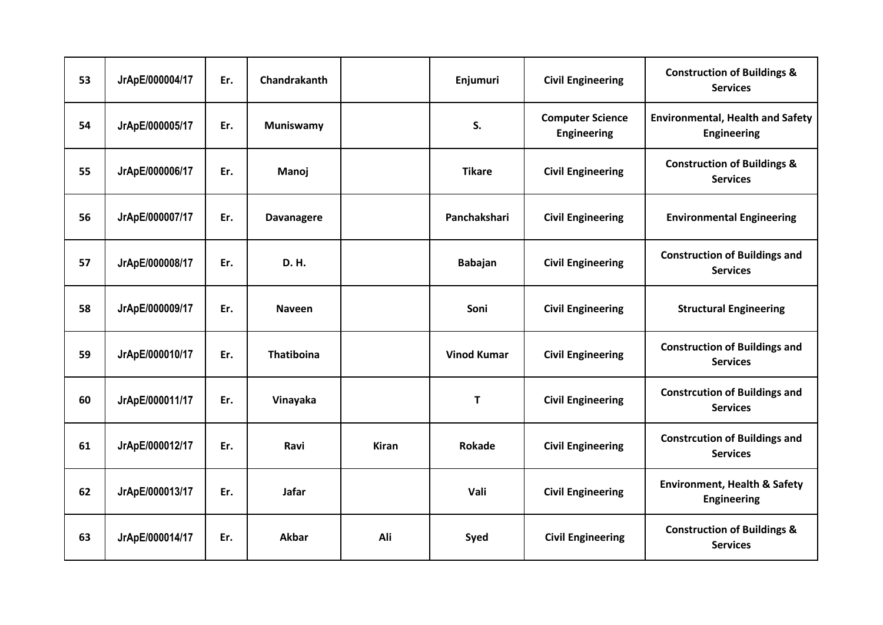| 53 | JrApE/000004/17 | Er. | Chandrakanth      |              | Enjumuri                                 | <b>Civil Engineering</b>                      | <b>Construction of Buildings &amp;</b><br><b>Services</b>     |
|----|-----------------|-----|-------------------|--------------|------------------------------------------|-----------------------------------------------|---------------------------------------------------------------|
| 54 | JrApE/000005/17 | Er. | Muniswamy         |              | S.                                       | <b>Computer Science</b><br><b>Engineering</b> | <b>Environmental, Health and Safety</b><br><b>Engineering</b> |
| 55 | JrApE/000006/17 | Er. | Manoj             |              | <b>Tikare</b>                            |                                               | <b>Construction of Buildings &amp;</b><br><b>Services</b>     |
| 56 | JrApE/000007/17 | Er. | <b>Davanagere</b> |              | Panchakshari<br><b>Civil Engineering</b> |                                               | <b>Environmental Engineering</b>                              |
| 57 | JrApE/000008/17 | Er. | <b>D.H.</b>       |              | <b>Babajan</b>                           | <b>Civil Engineering</b>                      | <b>Construction of Buildings and</b><br><b>Services</b>       |
| 58 | JrApE/000009/17 | Er. | <b>Naveen</b>     |              | Soni                                     | <b>Civil Engineering</b>                      | <b>Structural Engineering</b>                                 |
| 59 | JrApE/000010/17 | Er. | Thatiboina        |              | <b>Vinod Kumar</b>                       | <b>Civil Engineering</b>                      | <b>Construction of Buildings and</b><br><b>Services</b>       |
| 60 | JrApE/000011/17 | Er. | Vinayaka          |              | T                                        | <b>Civil Engineering</b>                      | <b>Constrcution of Buildings and</b><br><b>Services</b>       |
| 61 | JrApE/000012/17 | Er. | Ravi              | <b>Kiran</b> | Rokade                                   | <b>Civil Engineering</b>                      | <b>Constrcution of Buildings and</b><br><b>Services</b>       |
| 62 | JrApE/000013/17 | Er. | <b>Jafar</b>      |              | Vali                                     | <b>Civil Engineering</b>                      | <b>Environment, Health &amp; Safety</b><br><b>Engineering</b> |
| 63 | JrApE/000014/17 | Er. | <b>Akbar</b>      | Ali          | Syed                                     | <b>Civil Engineering</b>                      | <b>Construction of Buildings &amp;</b><br><b>Services</b>     |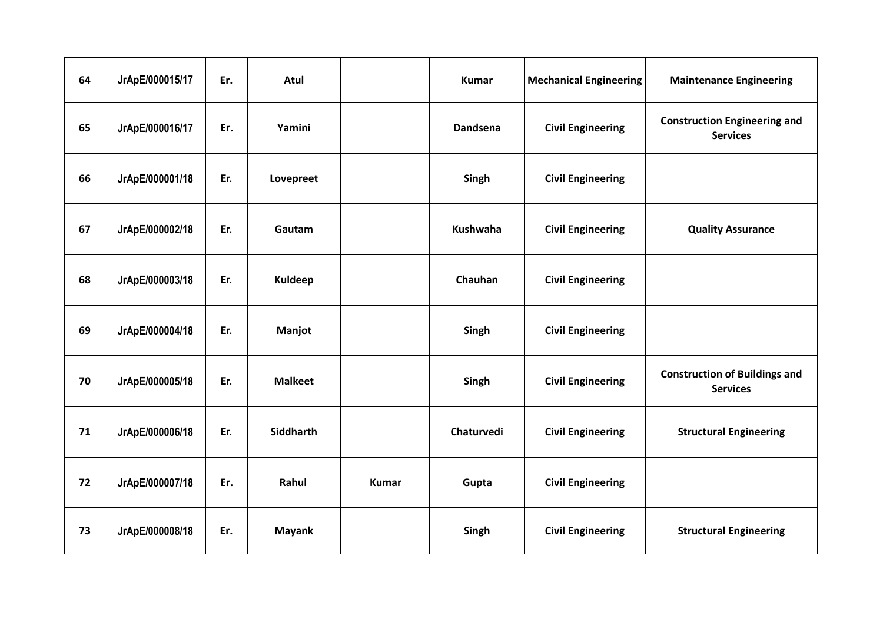| 64 | JrApE/000015/17 | Er. | Atul           |              | <b>Kumar</b>    | <b>Mechanical Engineering</b> | <b>Maintenance Engineering</b>                          |
|----|-----------------|-----|----------------|--------------|-----------------|-------------------------------|---------------------------------------------------------|
| 65 | JrApE/000016/17 | Er. | Yamini         |              | Dandsena        | <b>Civil Engineering</b>      | <b>Construction Engineering and</b><br><b>Services</b>  |
| 66 | JrApE/000001/18 | Er. | Lovepreet      |              | Singh           | <b>Civil Engineering</b>      |                                                         |
| 67 | JrApE/000002/18 | Er. | Gautam         |              | <b>Kushwaha</b> | <b>Civil Engineering</b>      | <b>Quality Assurance</b>                                |
| 68 | JrApE/000003/18 | Er. | <b>Kuldeep</b> |              | Chauhan         | <b>Civil Engineering</b>      |                                                         |
| 69 | JrApE/000004/18 | Er. | Manjot         |              | Singh           | <b>Civil Engineering</b>      |                                                         |
| 70 | JrApE/000005/18 | Er. | <b>Malkeet</b> |              | Singh           | <b>Civil Engineering</b>      | <b>Construction of Buildings and</b><br><b>Services</b> |
| 71 | JrApE/000006/18 | Er. | Siddharth      |              | Chaturvedi      | <b>Civil Engineering</b>      | <b>Structural Engineering</b>                           |
| 72 | JrApE/000007/18 | Er. | Rahul          | <b>Kumar</b> | Gupta           | <b>Civil Engineering</b>      |                                                         |
| 73 | JrApE/000008/18 | Er. | <b>Mayank</b>  |              | Singh           | <b>Civil Engineering</b>      | <b>Structural Engineering</b>                           |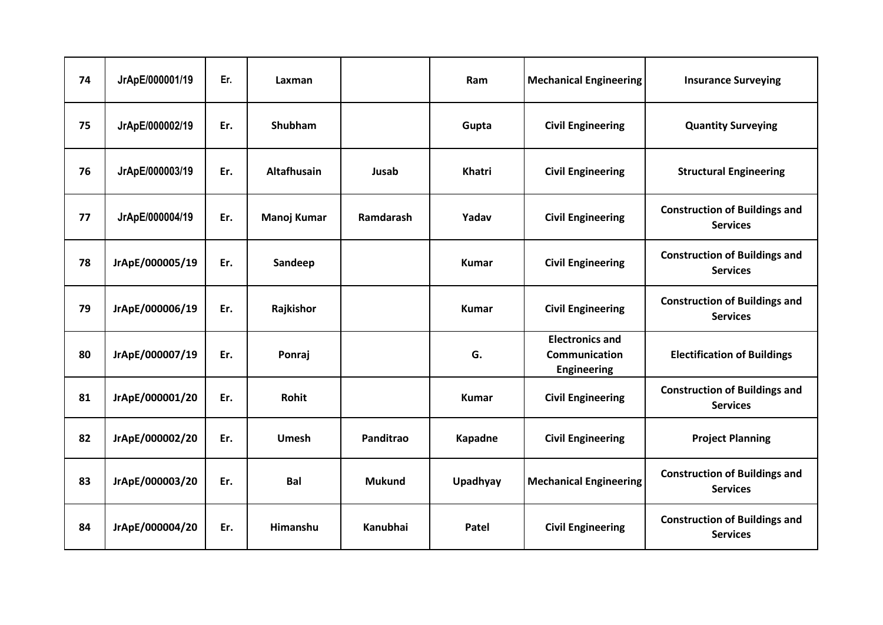| 74 | JrApE/000001/19 | Er. | Laxman             |                 | Ram           | <b>Mechanical Engineering</b>                                        | <b>Insurance Surveying</b>                              |
|----|-----------------|-----|--------------------|-----------------|---------------|----------------------------------------------------------------------|---------------------------------------------------------|
| 75 | JrApE/000002/19 | Er. | Shubham            |                 | Gupta         | <b>Civil Engineering</b>                                             | <b>Quantity Surveying</b>                               |
| 76 | JrApE/000003/19 | Er. | <b>Altafhusain</b> | Jusab           | <b>Khatri</b> | <b>Civil Engineering</b>                                             | <b>Structural Engineering</b>                           |
| 77 | JrApE/000004/19 | Er. | Manoj Kumar        | Ramdarash       | Yadav         | <b>Civil Engineering</b>                                             | <b>Construction of Buildings and</b><br><b>Services</b> |
| 78 | JrApE/000005/19 | Er. | Sandeep            |                 | <b>Kumar</b>  | <b>Civil Engineering</b>                                             | <b>Construction of Buildings and</b><br><b>Services</b> |
| 79 | JrApE/000006/19 | Er. | Rajkishor          |                 | <b>Kumar</b>  | <b>Civil Engineering</b>                                             | <b>Construction of Buildings and</b><br><b>Services</b> |
| 80 | JrApE/000007/19 | Er. | Ponraj             |                 | G.            | <b>Electronics and</b><br><b>Communication</b><br><b>Engineering</b> | <b>Electification of Buildings</b>                      |
| 81 | JrApE/000001/20 | Er. | Rohit              |                 | <b>Kumar</b>  | <b>Civil Engineering</b>                                             | <b>Construction of Buildings and</b><br><b>Services</b> |
| 82 | JrApE/000002/20 | Er. | <b>Umesh</b>       | Panditrao       | Kapadne       | <b>Civil Engineering</b>                                             | <b>Project Planning</b>                                 |
| 83 | JrApE/000003/20 | Er. | <b>Bal</b>         | <b>Mukund</b>   | Upadhyay      | <b>Mechanical Engineering</b>                                        | <b>Construction of Buildings and</b><br><b>Services</b> |
| 84 | JrApE/000004/20 | Er. | Himanshu           | <b>Kanubhai</b> | Patel         | <b>Civil Engineering</b>                                             | <b>Construction of Buildings and</b><br><b>Services</b> |